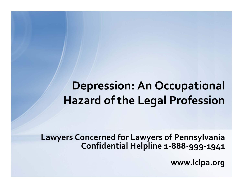# **Depression: An Occupational Hazard of the Legal Profession**

**Lawyers Concerned for Lawyers of Pennsylvania Confidential Helpline <sup>1</sup>‐888‐999‐1941**

**www.lclpa.org**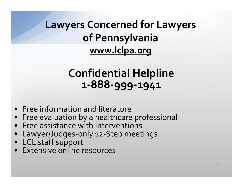**Lawyers Concerned for Lawyers of Pennsylvania www.lclpa.org**

## **Confidential Helpline <sup>1</sup>‐888‐999‐1941**

- Free information and literature
- Free evaluation by <sup>a</sup> healthcare professional
- Free assistance with interventions
- Lawyer/Judges‐only <sup>12</sup>‐Step meetings
- LCL staff suppor<sup>t</sup>
- Extensive online resources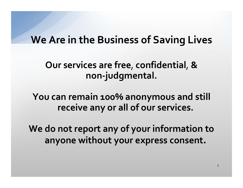### **We Are in the Business of Saving Lives**

#### **Our services are free**, **confidential**, **& non‐judgmental.**

**You can remain 100% anonymous and still receive any or all of our services.**

**We do not repor<sup>t</sup> any of your information to anyone without your express consent.**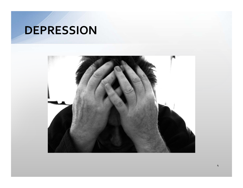#### **DEPRESSION**

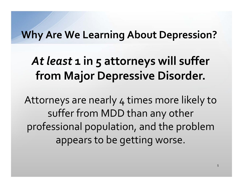### **Why Are We Learning About Depression?**

# *At least* **<sup>1</sup> in 5 attorneys will suffer from Major Depressive Disorder.**

Attorneys are nearly <sup>4</sup> times more likely to suffer from MDD than any other professional population, and the problem appears to be getting worse.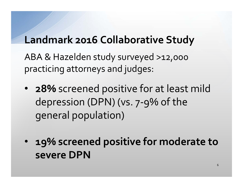## **Landmark 2016 Collaborative Study**

ABA & Hazelden study surveyed >12,000 practicing attorneys and judges:

- **28%** screened positive for at least mild depression (DPN) (vs. <sup>7</sup>‐9% of the general population)
- $\bullet$  **19% screened positive for moderate to severe DPN**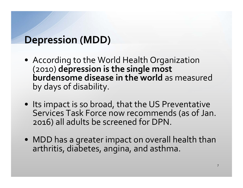## **Depression (MDD)**

- According to the World Health Organization (2010) **depression is the single most burdensome disease in the world** as measured by days of disability.
- Its impact is so broad, that the US Preventative Services Task Force now recommends (as of Jan. 2016) all adults be screened for DPN.
- MDD has <sup>a</sup> greater impact on overall health than arthritis, diabetes, angina, and asthma.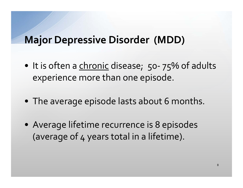### **Major Depressive Disorder (MDD)**

- It is often a <u>chronic</u> disease; 50-75% of adults experience more than one episode.
- The average episode lasts about 6 months.
- Average lifetime recurrence is 8 episodes (average of <sup>4</sup> years total in <sup>a</sup> lifetime).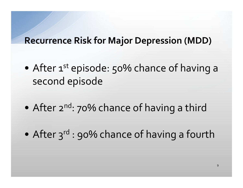#### **Recurrence Risk for Major Depression (MDD)**

- $\bullet$ After 1<sup>st</sup> episode: 50% chance of having a second episode
- $\bullet$ After 2<sup>nd</sup>: 70% chance of having a third
- $\bullet$ After 3<sup>rd</sup> : 90% chance of having a fourth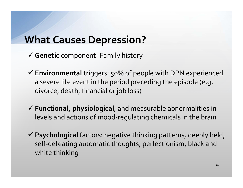## **What Causes Depression?**

- **Genetic** component‐ Family history
- **Environmental** triggers: 50% of people with DPN experienced a severe life event in the period preceding the episode (e.g. divorce, death, financial or job loss)
- **Functional, physiological**, and measurable abnormalities in levels and actions of mood‐regulating chemicals in the brain
- **Psychological** factors: negative thinking patterns, deeply held, self-defeating automatic thoughts, perfectionism, black and white thinking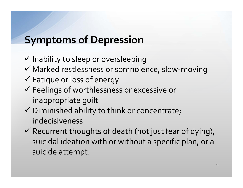# **Symptoms of Depression**

- $\checkmark$  Inability to sleep or oversleeping
- Marked restlessness or somnolence, slow‐moving
- Fatigue or loss of energy
- Feelings of worthlessness or excessive or inappropriate guilt
- Diminished ability to think or concentrate; indecisiveness
- Recurrent thoughts of death (not just fear of dying), suicidal ideation with or without <sup>a</sup> specific plan, or <sup>a</sup> suicide attempt.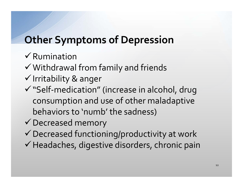# **Other Symptoms of Depression**

- $\checkmark$  Rumination
- $\checkmark$  Withdrawal from family and friends
- $\checkmark$  Irritability & anger
- $\checkmark$  "Self-medication" (increase in alcohol, drug consumption and use of other maladaptive behaviors to 'numb' the sadness)
- $\checkmark$  Decreased memory
- $\checkmark$  Decreased functioning/productivity at work
- $\checkmark$  Headaches, digestive disorders, chronic pain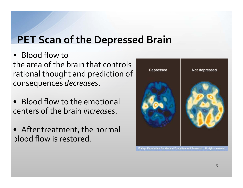# **PET Scan of the Depressed Brain**

• Blood flow to the area of the brain that controls rational thought and prediction of consequences *decreases*.

- Blood flow to the emotional centers of the brain *increases*.
- After treatment, the normal blood flow is restored.

![](_page_12_Picture_4.jpeg)

Mayo Foundation for Medical Education and Research. All rights reserved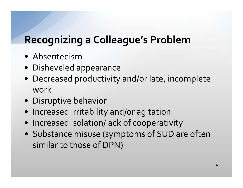# **Recognizing <sup>a</sup> Colleague's Problem**

- Absenteeism
- Disheveled appearance
- Decreased productivity and/or late, incomplete work
- Disruptive behavior
- Increased irritability and/or agitation
- Increased isolation/lack of cooperativity
- Substance misuse (symptoms of SUD are often similar to those of DPN)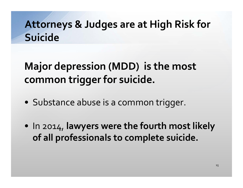# **Attorneys & Judges are at High Risk for Suicide**

#### **Major depression (MDD) is the most commontrigger for suicide.**

- Substance abuse is <sup>a</sup> common trigger.
- In 2014, **lawyers were the fourth most likely of all professionals to complete suicide.**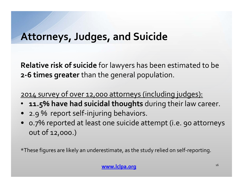## **Attorneys, Judges, and Suicide**

**Relative risk of suicide** for lawyers has been estimated to be **2‐6 times greater** than the general population.

<sup>2014</sup> survey of over 12,000 attorneys (including judges):

- •**11.5% have had suicidal thoughts** during their law career.
- 2.9 % repor<sup>t</sup> self‐injuring behaviors.
- 0.7% reported at least one suicide attempt (i.e. 90 attorneys out of 12,000.)

 $^{\star}$ These figures are likely an underestimate, as the study relied on self-reporting.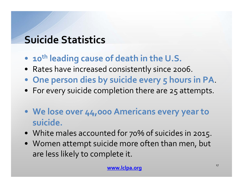# **Suicide Statistics**

- •**<sup>10</sup>th leading cause of death in the U.S.**
- Rates have increased consistently since 2006.
- **One person dies by suicide every 5 hours in PA**.
- For every suicide completion there are 25 attempts.
- **We lose over 44,000 Americans every year to suicide.**
- White males accounted for 70% of suicides in 2015.
- Women attempt suicide more often than men, but are less likely to complete it.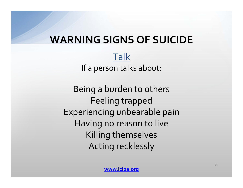## **WARNING SIGNS OF SUICIDE**

Talk If a person talks about:

Being <sup>a</sup> burden to others Feeling trapped Experiencing unbearable pain Having no reason to live Killing themselves Acting recklessly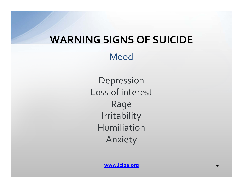### **WARNING SIGNS OF SUICIDE**

Mood

Depression Loss of interest Rage Irritability HumiliationAnxiety

**www.lclpa.org** 19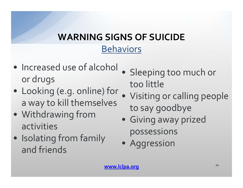# **WARNING SIGNS OF SUICIDE**

#### Behaviors

- Increased use of alcohol or drugs
- Looking (e.g. online) for a way to kill themselves
- Withdrawing from activities
- Isolating from family and friends
- $\bullet$  Sleeping too much or too little
- $\bullet$  Visiting or calling people to say goodbye
- Giving away prized possessions
- Aggression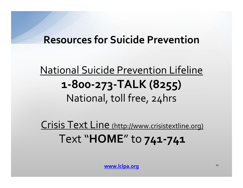## **Resources for Suicide Prevention**

# National Suicide Prevention Lifeline **<sup>1</sup>‐800‐273‐TALK (8255)** National, toll free, 24hrs

Crisis Text Line (http://www.crisistextline.org) Text "**HOME**" to **741‐741**

**www.lclpa.org** 21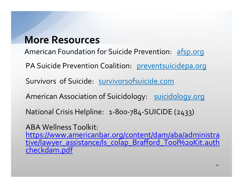#### **More Resources**

American Foundation for Suicide Prevention: afsp.org

PA Suicide Prevention Coalition: preventsuicidepa.org

Survivors of Suicide: survivorsofsuicide.com

American Association of Suicidology: suicidology.org

National Crisis Helpline: <sup>1</sup>‐800‐784‐SUICIDE (2433)

ABA Wellness Toolkit:

https://www.americanbar.org/content/dam/aba/administra tive/lawyer\_assistance/ls\_colap\_Brafford\_Tool%20Kit.auth checkdam.pdf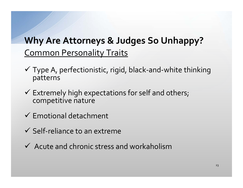### Common Personality Traits **Why Are Attorneys & Judges So Unhappy?**

- Type A, perfectionistic, rigid, black‐and‐white thinking patterns
- $\checkmark$  Extremely high expectations for self and others; competitive nature
- $\checkmark$  Emotional detachment
- $\checkmark$  Self-reliance to an extreme
- $\checkmark$  Acute and chronic stress and workaholism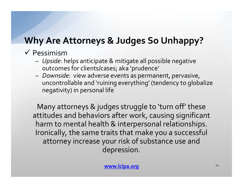# **Why Are Attorneys & Judges So Unhappy?**

#### $\checkmark$  Pessimism

- *Upside*: helps anticipate & mitigate all possible negative outcomes for clients/cases; aka 'prudence'
- *Downside*: view adverse events as permanent, pervasive, uncontrollable and 'ruining everything' (tendency to globalize negativity) in personal life

Many attorneys & judges struggle to 'turn off' these attitudes and behaviors after work, causing significant harm to mental health & interpersonal relationships. Ironically, the same traits that make you <sup>a</sup> successful attorney increase your risk of substance use and depression.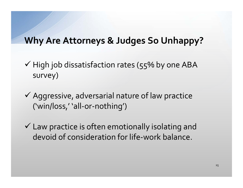#### **Why Are Attorneys & Judges So Unhappy?**

- $\checkmark$  High job dissatisfaction rates (55% by one ABA survey)
- $\checkmark$  Aggressive, adversarial nature of law practice ('win/loss,' 'all‐or‐nothing')
- $\checkmark$  Law practice is often emotionally isolating and devoid of consideration for life‐work balance.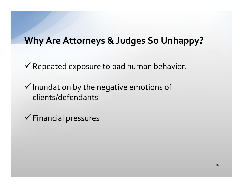#### **Why Are Attorneys & Judges So Unhappy?**

 $\checkmark$  Repeated exposure to bad human behavior.

 $\checkmark$  Inundation by the negative emotions of clients/defendants

 $\checkmark$  Financial pressures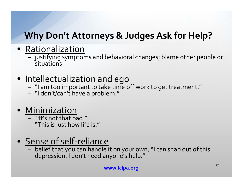## **Why Don't Attorneys & Judges Ask for Help?**

- Rationalization
	- justifying symptoms and behavioral changes; blame other people or situations
- Intellectualization and ego
	- "I am too important to take time off work to ge<sup>t</sup> treatment."
	- "I don't/can't have <sup>a</sup> problem."

#### • Minimization

- "It's not that bad."
- "This is just how life is."

### ● Sense of self-reliance

 $- \;$  belief that you can handle it on your own; "I can snap out of this depression. <sup>I</sup> don't need anyone's help."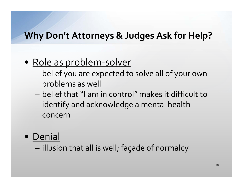#### **Why Don't Attorneys & Judges Ask for Help?**

#### • <u>Role as problem-solver</u>

- belief you are expected to solve all of your own problems as well
- belief that "I am in control" makes it difficult to identify and acknowledge <sup>a</sup> mental health concern
- Denial

– illusion that all is well; façade of normalcy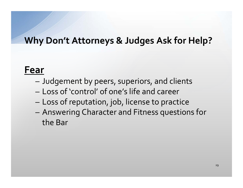#### **Why Don't Attorneys & Judges Ask for Help?**

#### **Fear**

- –Judgement by peers, superiors, and clients
- Loss of 'control' of one's life and career
- Loss of reputation, job, license to practice
- Answering Character and Fitness questions for the Bar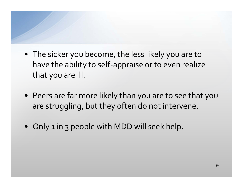- The sicker you become, the less likely you are to have the ability to self‐appraise or to even realize that you are ill.
- Peers are far more likely than you are to see that you are struggling, but they often do not intervene.
- Only <sup>1</sup> in 3 people with MDD will seek help.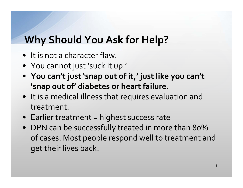# **Why Should You Ask for Help?**

- It is not a character flaw.
- You cannot just 'suck it up.'
- **You can't just 'snap out of it,' just like you can't 'snap out of' diabetes or heart failure.**
- It is a medical illness that requires evaluation and treatment.
- $\bullet~$  Earlier treatment = highest success rate
- DPN can be successfully treated in more than 80% of cases. Most people respond well to treatment and ge<sup>t</sup> their lives back.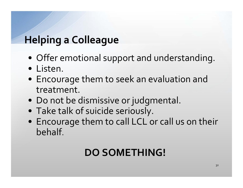# **Helping <sup>a</sup> Colleague**

- Offer emotional suppor<sup>t</sup> and understanding.
- Listen.
- Encourage them to seek an evaluation and treatment.
- Do not be dismissive or judgmental.
- Take talk of suicide seriously.
- Encourage them to call LCL or call us on their behalf.

# **DO SOMETHING!**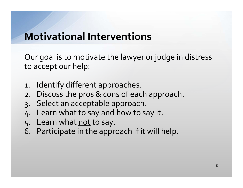## **Motivational Interventions**

Our goal is to motivate the lawyer or judge in distress to accep<sup>t</sup> our help:

- 1. Identify different approaches.
- 2. Discuss the pros & cons of each approach.
- 3. Select an acceptable approach.
- 4. Learn what to say and how to say it.
- 5. Learn what not to say.
- 6. Participate in the approach if it will help.